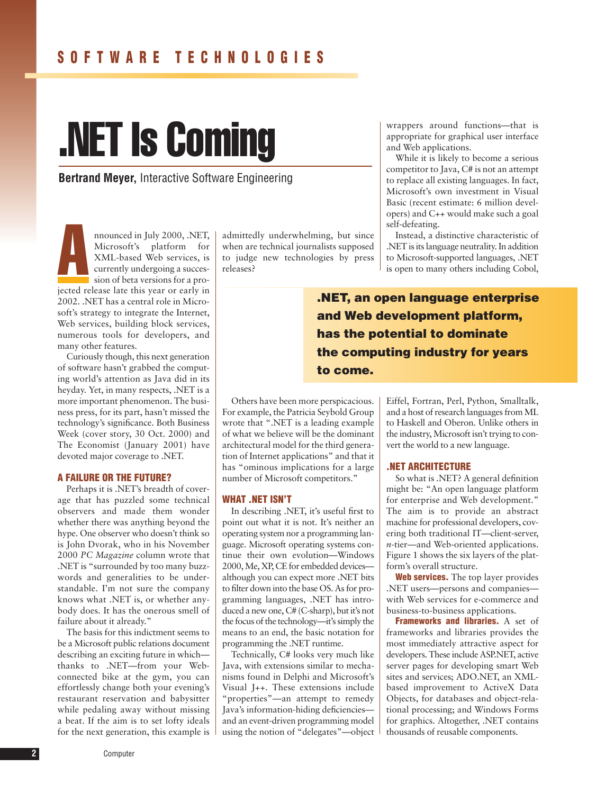# .NET Is Coming

**Bertrand Meyer,** Interactive Software Engineering

mounced in July 2000, .NET,<br>Microsoft's platform for<br>XML-based Web services, is<br>currently undergoing a succes-<br>sion of beta versions for a pro-Microsoft's platform for XML-based Web services, is currently undergoing a succession of beta versions for a projected release late this year or early in 2002. .NET has a central role in Microsoft's strategy to integrate the Internet, Web services, building block services, numerous tools for developers, and many other features.

Curiously though, this next generation of software hasn't grabbed the computing world's attention as Java did in its heyday. Yet, in many respects, .NET is a more important phenomenon. The business press, for its part, hasn't missed the technology's significance. Both Business Week (cover story, 30 Oct. 2000) and The Economist (January 2001) have devoted major coverage to .NET.

#### A FAILURE OR THE FUTURE?

Perhaps it is .NET's breadth of coverage that has puzzled some technical observers and made them wonder whether there was anything beyond the hype. One observer who doesn't think so is John Dvorak, who in his November 2000 *PC Magazine* column wrote that .NET is "surrounded by too many buzzwords and generalities to be understandable. I'm not sure the company knows what .NET is, or whether anybody does. It has the onerous smell of failure about it already."

The basis for this indictment seems to be a Microsoft public relations document describing an exciting future in which thanks to .NET—from your Webconnected bike at the gym, you can effortlessly change both your evening's restaurant reservation and babysitter while pedaling away without missing a beat. If the aim is to set lofty ideals for the next generation, this example is

admittedly underwhelming, but since when are technical journalists supposed to judge new technologies by press releases?

wrappers around functions—that is appropriate for graphical user interface and Web applications.

While it is likely to become a serious competitor to Java, C# is not an attempt to replace all existing languages. In fact, Microsoft's own investment in Visual Basic (recent estimate: 6 million developers) and C++ would make such a goal self-defeating.

Instead, a distinctive characteristic of .NET is its language neutrality. In addition to Microsoft-supported languages, .NET is open to many others including Cobol,

.NET, an open language enterprise and Web development platform, has the potential to dominate the computing industry for years to come.

Others have been more perspicacious. For example, the Patricia Seybold Group wrote that ".NET is a leading example of what we believe will be the dominant architectural model for the third generation of Internet applications" and that it has "ominous implications for a large number of Microsoft competitors."

#### WHAT .NET ISN'T

In describing .NET, it's useful first to point out what it is not. It's neither an operating system nor a programming language. Microsoft operating systems continue their own evolution—Windows 2000, Me, XP, CE for embedded devices although you can expect more .NET bits to filter down into the base OS. As for programming languages, .NET has introduced a new one, C# (C-sharp), but it's not the focus of the technology—it's simply the means to an end, the basic notation for programming the .NET runtime.

Technically, C# looks very much like Java, with extensions similar to mechanisms found in Delphi and Microsoft's Visual J++. These extensions include "properties"—an attempt to remedy Java's information-hiding deficiencies and an event-driven programming model using the notion of "delegates"—object Eiffel, Fortran, Perl, Python, Smalltalk, and a host of research languages from ML to Haskell and Oberon. Unlike others in the industry, Microsoft isn't trying to convert the world to a new language.

#### .NET ARCHITECTURE

So what is .NET? A general definition might be: "An open language platform for enterprise and Web development." The aim is to provide an abstract machine for professional developers, covering both traditional IT—client-server, *n*-tier—and Web-oriented applications. Figure 1 shows the six layers of the platform's overall structure.

Web services. The top layer provides .NET users—persons and companies with Web services for e-commerce and business-to-business applications.

Frameworks and libraries. A set of frameworks and libraries provides the most immediately attractive aspect for developers. These include ASP.NET, active server pages for developing smart Web sites and services; ADO.NET, an XMLbased improvement to ActiveX Data Objects, for databases and object-relational processing; and Windows Forms for graphics. Altogether, .NET contains thousands of reusable components.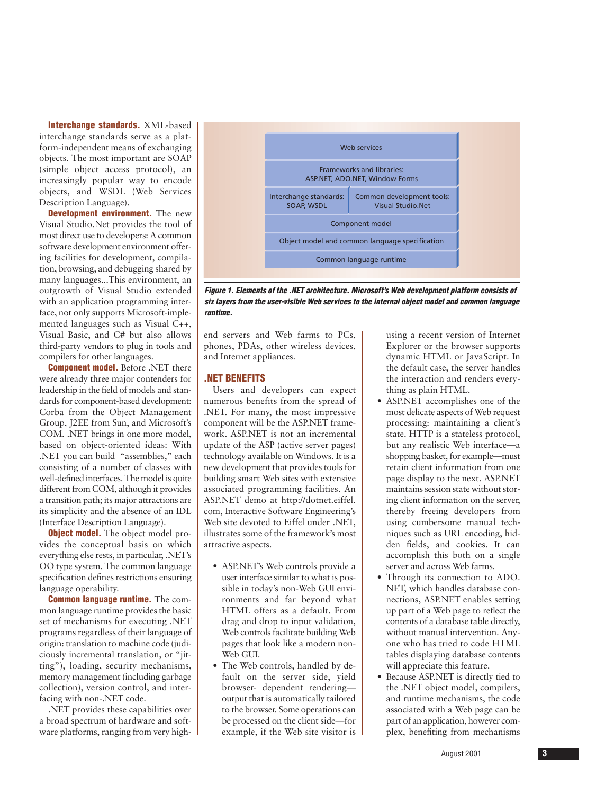Interchange standards. XML-based interchange standards serve as a platform-independent means of exchanging objects. The most important are SOAP (simple object access protocol), an increasingly popular way to encode objects, and WSDL (Web Services Description Language).

Development environment. The new Visual Studio.Net provides the tool of most direct use to developers: A common software development environment offering facilities for development, compilation, browsing, and debugging shared by many languages...This environment, an outgrowth of Visual Studio extended with an application programming interface, not only supports Microsoft-implemented languages such as Visual C++, Visual Basic, and C# but also allows third-party vendors to plug in tools and compilers for other languages.

Component model. Before .NET there were already three major contenders for leadership in the field of models and standards for component-based development: Corba from the Object Management Group, J2EE from Sun, and Microsoft's COM. .NET brings in one more model, based on object-oriented ideas: With .NET you can build "assemblies," each consisting of a number of classes with well-defined interfaces. The model is quite different from COM, although it provides a transition path; its major attractions are its simplicity and the absence of an IDL (Interface Description Language).

**Object model.** The object model provides the conceptual basis on which everything else rests, in particular, .NET's OO type system. The common language specification defines restrictions ensuring language operability.

Common language runtime. The common language runtime provides the basic set of mechanisms for executing .NET programs regardless of their language of origin: translation to machine code (judiciously incremental translation, or "jitting"), loading, security mechanisms, memory management (including garbage collection), version control, and interfacing with non-.NET code.

.NET provides these capabilities over a broad spectrum of hardware and software platforms, ranging from very high-



*Figure 1. Elements of the .NET architecture. Microsoft's Web development platform consists of six layers from the user-visible Web services to the internal object model and common language runtime.*

end servers and Web farms to PCs, phones, PDAs, other wireless devices, and Internet appliances.

#### .NET BENEFITS

Users and developers can expect numerous benefits from the spread of .NET. For many, the most impressive component will be the ASP.NET framework. ASP.NET is not an incremental update of the ASP (active server pages) technology available on Windows. It is a new development that provides tools for building smart Web sites with extensive associated programming facilities. An ASP.NET demo at http://dotnet.eiffel. com, Interactive Software Engineering's Web site devoted to Eiffel under .NET, illustrates some of the framework's most attractive aspects.

- ASP.NET's Web controls provide a user interface similar to what is possible in today's non-Web GUI environments and far beyond what HTML offers as a default. From drag and drop to input validation, Web controls facilitate building Web pages that look like a modern non-Web GUI.
- The Web controls, handled by default on the server side, yield browser- dependent rendering output that is automatically tailored to the browser. Some operations can be processed on the client side—for example, if the Web site visitor is

using a recent version of Internet Explorer or the browser supports dynamic HTML or JavaScript. In the default case, the server handles the interaction and renders everything as plain HTML.

- ASP.NET accomplishes one of the most delicate aspects of Web request processing: maintaining a client's state. HTTP is a stateless protocol, but any realistic Web interface—a shopping basket, for example—must retain client information from one page display to the next. ASP.NET maintains session state without storing client information on the server, thereby freeing developers from using cumbersome manual techniques such as URL encoding, hidden fields, and cookies. It can accomplish this both on a single server and across Web farms.
- Through its connection to ADO. NET, which handles database connections, ASP.NET enables setting up part of a Web page to reflect the contents of a database table directly, without manual intervention. Anyone who has tried to code HTML tables displaying database contents will appreciate this feature.
- Because ASP.NET is directly tied to the .NET object model, compilers, and runtime mechanisms, the code associated with a Web page can be part of an application, however complex, benefiting from mechanisms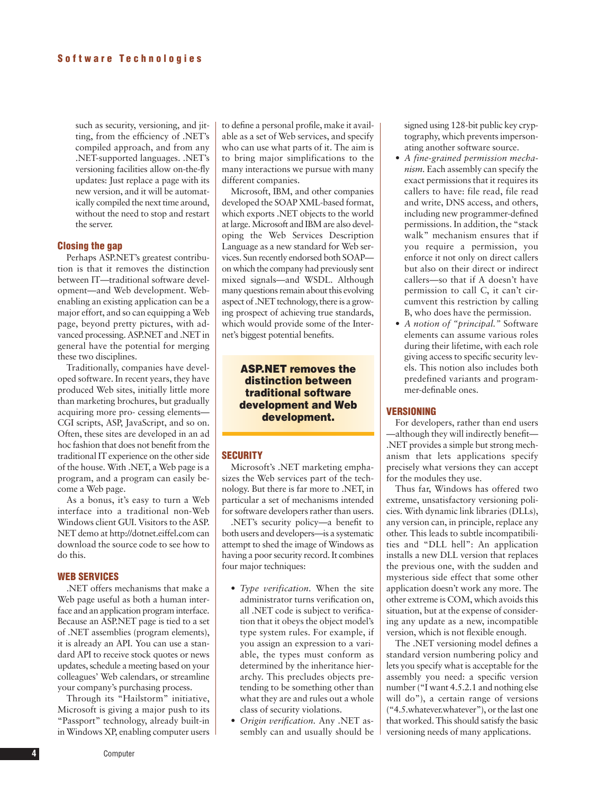such as security, versioning, and jitting, from the efficiency of .NET's compiled approach, and from any .NET-supported languages. .NET's versioning facilities allow on-the-fly updates: Just replace a page with its new version, and it will be automatically compiled the next time around, without the need to stop and restart the server.

#### Closing the gap

Perhaps ASP.NET's greatest contribution is that it removes the distinction between IT—traditional software development—and Web development. Webenabling an existing application can be a major effort, and so can equipping a Web page, beyond pretty pictures, with advanced processing. ASP.NET and .NET in general have the potential for merging these two disciplines.

Traditionally, companies have developed software. In recent years, they have produced Web sites, initially little more than marketing brochures, but gradually acquiring more pro- cessing elements— CGI scripts, ASP, JavaScript, and so on. Often, these sites are developed in an ad hoc fashion that does not benefit from the traditional IT experience on the other side of the house. With .NET, a Web page is a program, and a program can easily become a Web page.

As a bonus, it's easy to turn a Web interface into a traditional non-Web Windows client GUI. Visitors to the ASP. NET demo at http://dotnet.eiffel.com can download the source code to see how to do this.

#### WEB SERVICES

.NET offers mechanisms that make a Web page useful as both a human interface and an application program interface. Because an ASP.NET page is tied to a set of .NET assemblies (program elements), it is already an API. You can use a standard API to receive stock quotes or news updates, schedule a meeting based on your colleagues' Web calendars, or streamline your company's purchasing process.

Through its "Hailstorm" initiative, Microsoft is giving a major push to its "Passport" technology, already built-in in Windows XP, enabling computer users to define a personal profile, make it available as a set of Web services, and specify who can use what parts of it. The aim is to bring major simplifications to the many interactions we pursue with many different companies.

Microsoft, IBM, and other companies developed the SOAP XML-based format, which exports .NET objects to the world at large. Microsoft and IBM are also developing the Web Services Description Language as a new standard for Web services. Sun recently endorsed both SOAP on which the company had previously sent mixed signals—and WSDL. Although many questions remain about this evolving aspect of .NET technology, there is a growing prospect of achieving true standards, which would provide some of the Internet's biggest potential benefits.

# ASP.NET removes the distinction between traditional software development and Web development.

#### **SECURITY**

Microsoft's .NET marketing emphasizes the Web services part of the technology. But there is far more to .NET, in particular a set of mechanisms intended for software developers rather than users.

.NET's security policy—a benefit to both users and developers—is a systematic attempt to shed the image of Windows as having a poor security record. It combines four major techniques:

- *Type verification.* When the site administrator turns verification on, all .NET code is subject to verification that it obeys the object model's type system rules. For example, if you assign an expression to a variable, the types must conform as determined by the inheritance hierarchy. This precludes objects pretending to be something other than what they are and rules out a whole class of security violations.
- *Origin verification.* Any .NET assembly can and usually should be

signed using 128-bit public key cryptography, which prevents impersonating another software source.

- *A fine-grained permission mechanism.* Each assembly can specify the exact permissions that it requires its callers to have: file read, file read and write, DNS access, and others, including new programmer-defined permissions. In addition, the "stack walk" mechanism ensures that if you require a permission, you enforce it not only on direct callers but also on their direct or indirect callers—so that if A doesn't have permission to call C, it can't circumvent this restriction by calling B, who does have the permission.
- *A notion of "principal."* Software elements can assume various roles during their lifetime, with each role giving access to specific security levels. This notion also includes both predefined variants and programmer-definable ones.

#### **VERSIONING**

For developers, rather than end users —although they will indirectly benefit— .NET provides a simple but strong mechanism that lets applications specify precisely what versions they can accept for the modules they use.

Thus far, Windows has offered two extreme, unsatisfactory versioning policies. With dynamic link libraries (DLLs), any version can, in principle, replace any other. This leads to subtle incompatibilities and "DLL hell": An application installs a new DLL version that replaces the previous one, with the sudden and mysterious side effect that some other application doesn't work any more. The other extreme is COM, which avoids this situation, but at the expense of considering any update as a new, incompatible version, which is not flexible enough.

The .NET versioning model defines a standard version numbering policy and lets you specify what is acceptable for the assembly you need: a specific version number ("I want 4.5.2.1 and nothing else will do"), a certain range of versions ("4.5.whatever.whatever"), or the last one that worked. This should satisfy the basic versioning needs of many applications.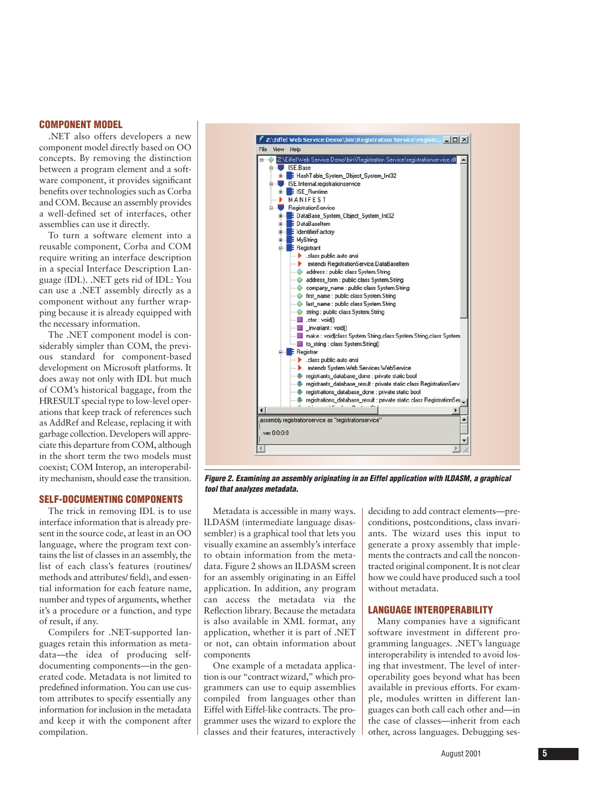# COMPONENT MODEL

.NET also offers developers a new component model directly based on OO concepts. By removing the distinction between a program element and a software component, it provides significant benefits over technologies such as Corba and COM. Because an assembly provides a well-defined set of interfaces, other assemblies can use it directly.

To turn a software element into a reusable component, Corba and COM require writing an interface description in a special Interface Description Language (IDL). .NET gets rid of IDL: You can use a .NET assembly directly as a component without any further wrapping because it is already equipped with the necessary information.

The .NET component model is considerably simpler than COM, the previous standard for component-based development on Microsoft platforms. It does away not only with IDL but much of COM's historical baggage, from the HRESULT special type to low-level operations that keep track of references such as AddRef and Release, replacing it with garbage collection. Developers will appreciate this departure from COM, although in the short term the two models must coexist; COM Interop, an interoperability mechanism, should ease the transition.

#### SELF-DOCUMENTING COMPONENTS

The trick in removing IDL is to use interface information that is already present in the source code, at least in an OO language, where the program text contains the list of classes in an assembly, the list of each class's features (routines/ methods and attributes/ field), and essential information for each feature name, number and types of arguments, whether it's a procedure or a function, and type of result, if any.

Compilers for .NET-supported languages retain this information as metadata—the idea of producing selfdocumenting components—in the generated code. Metadata is not limited to predefined information. You can use custom attributes to specify essentially any information for inclusion in the metadata and keep it with the component after compilation.



*Figure 2. Examining an assembly originating in an Eiffel application with ILDASM, a graphical tool that analyzes metadata.*

Metadata is accessible in many ways. ILDASM (intermediate language disassembler) is a graphical tool that lets you visually examine an assembly's interface to obtain information from the metadata. Figure 2 shows an ILDASM screen for an assembly originating in an Eiffel application. In addition, any program can access the metadata via the Reflection library. Because the metadata is also available in XML format, any application, whether it is part of .NET or not, can obtain information about components

One example of a metadata application is our "contract wizard," which programmers can use to equip assemblies compiled from languages other than Eiffel with Eiffel-like contracts. The programmer uses the wizard to explore the classes and their features, interactively deciding to add contract elements—preconditions, postconditions, class invariants. The wizard uses this input to generate a proxy assembly that implements the contracts and call the noncontracted original component. It is not clear how we could have produced such a tool without metadata.

## LANGUAGE INTEROPERABILITY

Many companies have a significant software investment in different programming languages. .NET's language interoperability is intended to avoid losing that investment. The level of interoperability goes beyond what has been available in previous efforts. For example, modules written in different languages can both call each other and—in the case of classes—inherit from each other, across languages. Debugging ses-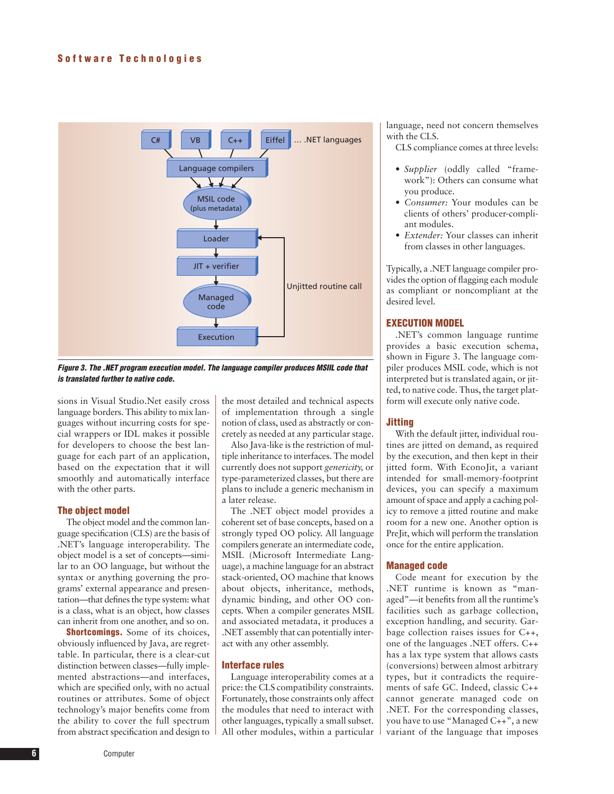

*Figure 3. The .NET program execution model. The language compiler produces MSIIL code that is translated further to native code.*

sions in Visual Studio.Net easily cross language borders. This ability to mix languages without incurring costs for special wrappers or IDL makes it possible for developers to choose the best language for each part of an application, based on the expectation that it will smoothly and automatically interface with the other parts.

#### The object model

The object model and the common language specification (CLS) are the basis of .NET's language interoperability. The object model is a set of concepts—similar to an OO language, but without the syntax or anything governing the programs' external appearance and presentation—that defines the type system: what is a class, what is an object, how classes can inherit from one another, and so on.

Shortcomings. Some of its choices, obviously influenced by Java, are regrettable. In particular, there is a clear-cut distinction between classes—fully implemented abstractions—and interfaces, which are specified only, with no actual routines or attributes. Some of object technology's major benefits come from the ability to cover the full spectrum from abstract specification and design to the most detailed and technical aspects of implementation through a single notion of class, used as abstractly or concretely as needed at any particular stage.

Also Java-like is the restriction of multiple inheritance to interfaces. The model currently does not support *genericity,* or type-parameterized classes, but there are plans to include a generic mechanism in a later release.

The .NET object model provides a coherent set of base concepts, based on a strongly typed OO policy. All language compilers generate an intermediate code, MSIL (Microsoft Intermediate Language), a machine language for an abstract stack-oriented, OO machine that knows about objects, inheritance, methods, dynamic binding, and other OO concepts. When a compiler generates MSIL and associated metadata, it produces a .NET assembly that can potentially interact with any other assembly.

### Interface rules

Language interoperability comes at a price: the CLS compatibility constraints. Fortunately, those constraints only affect the modules that need to interact with other languages, typically a small subset. All other modules, within a particular language, need not concern themselves with the CLS.

- CLS compliance comes at three levels:
- *Supplier* (oddly called "framework"): Others can consume what you produce.
- *Consumer:* Your modules can be clients of others' producer-compliant modules.
- *Extender:* Your classes can inherit from classes in other languages.

Typically, a .NET language compiler provides the option of flagging each module as compliant or noncompliant at the desired level.

#### EXECUTION MODEL

.NET's common language runtime provides a basic execution schema, shown in Figure 3. The language compiler produces MSIL code, which is not interpreted but is translated again, or jitted, to native code. Thus, the target platform will execute only native code.

#### **Jitting**

With the default jitter, individual routines are jitted on demand, as required by the execution, and then kept in their jitted form. With EconoJit, a variant intended for small-memory-footprint devices, you can specify a maximum amount of space and apply a caching policy to remove a jitted routine and make room for a new one. Another option is PreJit, which will perform the translation once for the entire application.

#### Managed code

Code meant for execution by the .NET runtime is known as "managed"—it benefits from all the runtime's facilities such as garbage collection, exception handling, and security. Garbage collection raises issues for C++, one of the languages .NET offers. C++ has a lax type system that allows casts (conversions) between almost arbitrary types, but it contradicts the requirements of safe GC. Indeed, classic C++ cannot generate managed code on .NET. For the corresponding classes, you have to use "Managed C++", a new variant of the language that imposes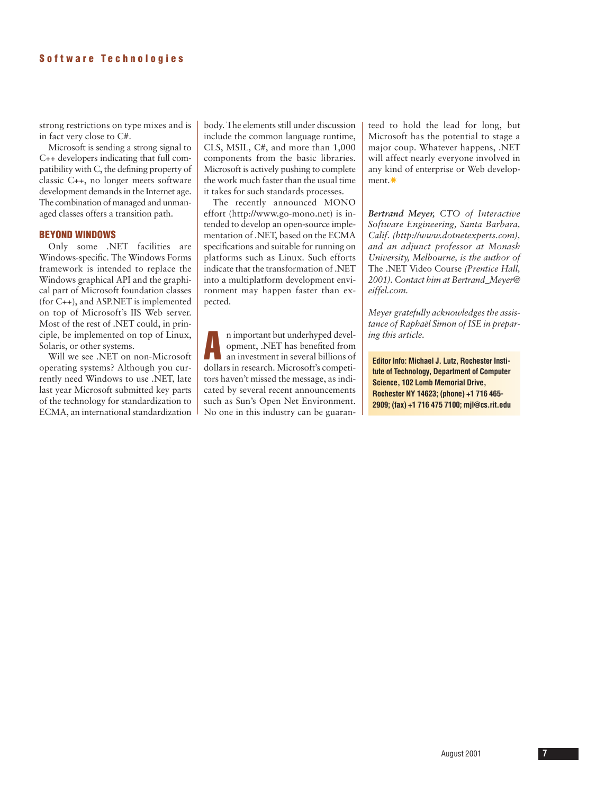# Software Technologies

strong restrictions on type mixes and is in fact very close to C#.

Microsoft is sending a strong signal to C++ developers indicating that full compatibility with C, the defining property of classic C++, no longer meets software development demands in the Internet age. The combination of managed and unmanaged classes offers a transition path.

#### BEYOND WINDOWS

Only some .NET facilities are Windows-specific. The Windows Forms framework is intended to replace the Windows graphical API and the graphical part of Microsoft foundation classes (for C++), and ASP.NET is implemented on top of Microsoft's IIS Web server. Most of the rest of .NET could, in principle, be implemented on top of Linux, Solaris, or other systems.

Will we see .NET on non-Microsoft operating systems? Although you currently need Windows to use .NET, late last year Microsoft submitted key parts of the technology for standardization to ECMA, an international standardization body. The elements still under discussion include the common language runtime, CLS, MSIL, C#, and more than 1,000 components from the basic libraries. Microsoft is actively pushing to complete the work much faster than the usual time it takes for such standards processes.

The recently announced MONO effort (http://www.go-mono.net) is intended to develop an open-source implementation of .NET, based on the ECMA specifications and suitable for running on platforms such as Linux. Such efforts indicate that the transformation of .NET into a multiplatform development environment may happen faster than expected.

n important but underhyped development, .NET has benefited from an investment in several billions of dollars in research. Microsoft's competitors haven't missed the message, as indicated by several recent announcements such as Sun's Open Net Environment. No one in this industry can be guaranteed to hold the lead for long, but Microsoft has the potential to stage a major coup. Whatever happens, .NET will affect nearly everyone involved in any kind of enterprise or Web development.✸

*Bertrand Meyer, CTO of Interactive Software Engineering, Santa Barbara, Calif. (http://www.dotnetexperts.com), and an adjunct professor at Monash University, Melbourne, is the author of*  The .NET Video Course *(Prentice Hall, 2001). Contact him at Bertrand\_Meyer@ eiffel.com.*

*Meyer gratefully acknowledges the assistance of Raphaël Simon of ISE in preparing this article.*

**Editor Info: Michael J. Lutz, Rochester Institute of Technology, Department of Computer Science, 102 Lomb Memorial Drive, Rochester NY 14623; (phone) +1 716 465- 2909; (fax) +1 716 475 7100; mjl@cs.rit.edu**